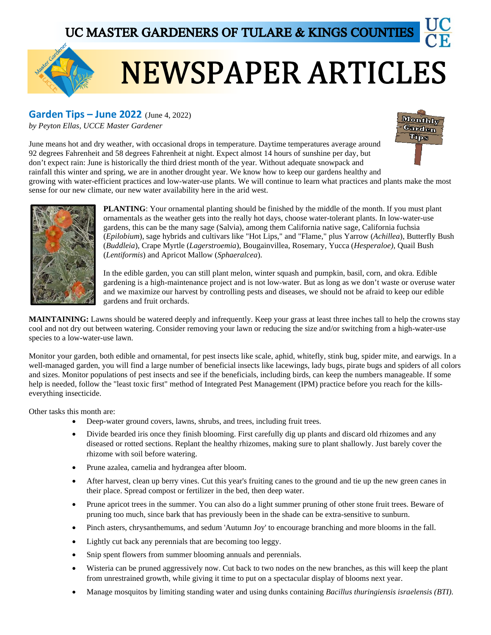

## **NEWSPAPER ARTICLES**

## **Garden Tips – June 2022** (June 4, 2022)

*by Peyton Ellas, UCCE Master Gardener*



June means hot and dry weather, with occasional drops in temperature. Daytime temperatures average around 92 degrees Fahrenheit and 58 degrees Fahrenheit at night. Expect almost 14 hours of sunshine per day, but don't expect rain: June is historically the third driest month of the year. Without adequate snowpack and rainfall this winter and spring, we are in another drought year. We know how to keep our gardens healthy and

growing with water-efficient practices and low-water-use plants. We will continue to learn what practices and plants make the most sense for our new climate, our new water availability here in the arid west.



**PLANTING**: Your ornamental planting should be finished by the middle of the month. If you must plant ornamentals as the weather gets into the really hot days, choose water-tolerant plants. In low-water-use gardens, this can be the many sage (Salvia), among them California native sage, California fuchsia (*Epilobium*), sage hybrids and cultivars like "Hot Lips," and "Flame," plus Yarrow (*Achillea*), Butterfly Bush (*Buddleia*), Crape Myrtle (*Lagerstroemia*), Bougainvillea, Rosemary, Yucca (*Hesperaloe)*, Quail Bush (*Lentiformis*) and Apricot Mallow (*Sphaeralcea*).

In the edible garden, you can still plant melon, winter squash and pumpkin, basil, corn, and okra. Edible gardening is a high-maintenance project and is not low-water. But as long as we don't waste or overuse water and we maximize our harvest by controlling pests and diseases, we should not be afraid to keep our edible gardens and fruit orchards.

**MAINTAINING:** Lawns should be watered deeply and infrequently. Keep your grass at least three inches tall to help the crowns stay cool and not dry out between watering. Consider removing your lawn or reducing the size and/or switching from a high-water-use species to a low-water-use lawn.

Monitor your garden, both edible and ornamental, for pest insects like scale, aphid, whitefly, stink bug, spider mite, and earwigs. In a well-managed garden, you will find a large number of beneficial insects like lacewings, lady bugs, pirate bugs and spiders of all colors and sizes. Monitor populations of pest insects and see if the beneficials, including birds, can keep the numbers manageable. If some help is needed, follow the "least toxic first" method of Integrated Pest Management (IPM) practice before you reach for the killseverything insecticide.

Other tasks this month are:

- Deep-water ground covers, lawns, shrubs, and trees, including fruit trees.
- Divide bearded iris once they finish blooming. First carefully dig up plants and discard old rhizomes and any diseased or rotted sections. Replant the healthy rhizomes, making sure to plant shallowly. Just barely cover the rhizome with soil before watering.
- Prune azalea, camelia and hydrangea after bloom.
- After harvest, clean up berry vines. Cut this year's fruiting canes to the ground and tie up the new green canes in their place. Spread compost or fertilizer in the bed, then deep water.
- Prune apricot trees in the summer. You can also do a light summer pruning of other stone fruit trees. Beware of pruning too much, since bark that has previously been in the shade can be extra-sensitive to sunburn.
- Pinch asters, chrysanthemums, and sedum 'Autumn Joy' to encourage branching and more blooms in the fall.
- Lightly cut back any perennials that are becoming too leggy.
- Snip spent flowers from summer blooming annuals and perennials.
- Wisteria can be pruned aggressively now. Cut back to two nodes on the new branches, as this will keep the plant from unrestrained growth, while giving it time to put on a spectacular display of blooms next year.
- Manage mosquitos by limiting standing water and using dunks containing *Bacillus thuringiensis israelensis (BTI).*